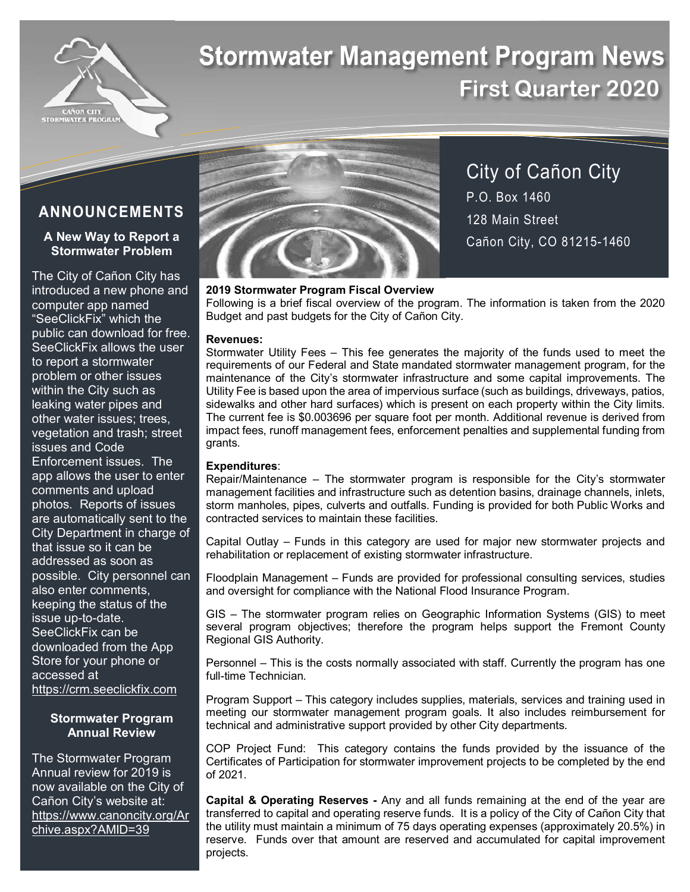

# **Stormwater Management Program News First Quarter 2020**

# **ANNOUNCEMENTS**

# **A New Way to Report a Stormwater Problem**

The City of Cañon City has introduced a new phone and computer app named "SeeClickFix" which the public can download for free. SeeClickFix allows the user to report a stormwater problem or other issues within the City such as leaking water pipes and other water issues; trees, vegetation and trash; street issues and Code Enforcement issues. The app allows the user to enter comments and upload photos. Reports of issues are automatically sent to the City Department in charge of that issue so it can be addressed as soon as possible. City personnel can also enter comments, keeping the status of the issue up-to-date. SeeClickFix can be downloaded from the App Store for your phone or accessed at https://crm.seeclickfix.com

## **Stormwater Program Annual Review**

The Stormwater Program Annual review for 2019 is now available on the City of Cañon City's website at: https://www.canoncity.org/Ar chive.aspx?AMID=39



City of Cañon City P.O. Box 1460 128 Main Street Cañon City, CO 81215-1460

# **2019 Stormwater Program Fiscal Overview**

Following is a brief fiscal overview of the program. The information is taken from the 2020 Budget and past budgets for the City of Cañon City.

#### **Revenues:**

Stormwater Utility Fees – This fee generates the majority of the funds used to meet the requirements of our Federal and State mandated stormwater management program, for the maintenance of the City's stormwater infrastructure and some capital improvements. The Utility Fee is based upon the area of impervious surface (such as buildings, driveways, patios, sidewalks and other hard surfaces) which is present on each property within the City limits. The current fee is \$0.003696 per square foot per month. Additional revenue is derived from impact fees, runoff management fees, enforcement penalties and supplemental funding from grants.

## **Expenditures**:

Repair/Maintenance – The stormwater program is responsible for the City's stormwater management facilities and infrastructure such as detention basins, drainage channels, inlets, storm manholes, pipes, culverts and outfalls. Funding is provided for both Public Works and contracted services to maintain these facilities.

Capital Outlay – Funds in this category are used for major new stormwater projects and rehabilitation or replacement of existing stormwater infrastructure.

Floodplain Management – Funds are provided for professional consulting services, studies and oversight for compliance with the National Flood Insurance Program.

GIS – The stormwater program relies on Geographic Information Systems (GIS) to meet several program objectives; therefore the program helps support the Fremont County Regional GIS Authority.

Personnel – This is the costs normally associated with staff. Currently the program has one full-time Technician.

Program Support – This category includes supplies, materials, services and training used in meeting our stormwater management program goals. It also includes reimbursement for technical and administrative support provided by other City departments.

COP Project Fund: This category contains the funds provided by the issuance of the Certificates of Participation for stormwater improvement projects to be completed by the end of 2021.

**Capital & Operating Reserves -** Any and all funds remaining at the end of the year are transferred to capital and operating reserve funds. It is a policy of the City of Cañon City that the utility must maintain a minimum of 75 days operating expenses (approximately 20.5%) in reserve. Funds over that amount are reserved and accumulated for capital improvement projects.